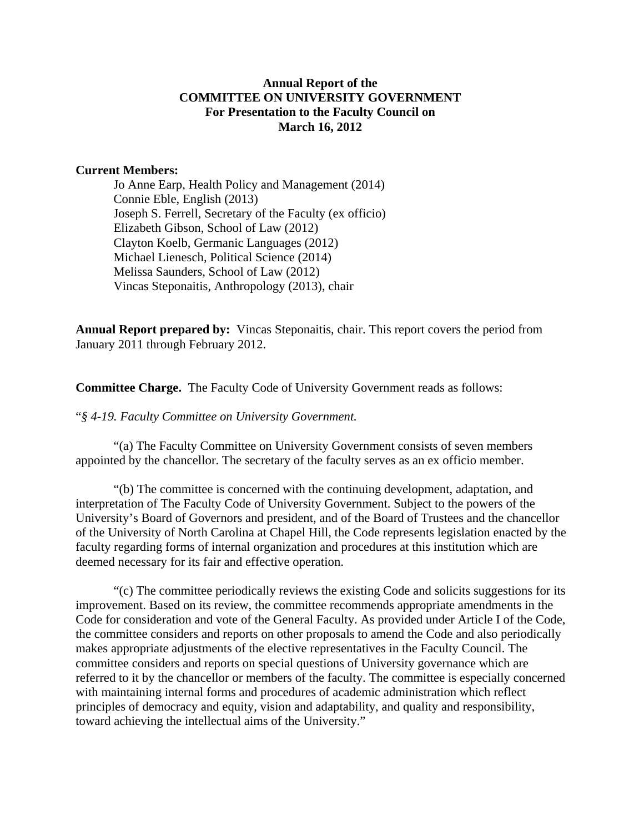#### **Annual Report of the COMMITTEE ON UNIVERSITY GOVERNMENT For Presentation to the Faculty Council on March 16, 2012**

#### **Current Members:**

Jo Anne Earp, Health Policy and Management (2014) Connie Eble, English (2013) Joseph S. Ferrell, Secretary of the Faculty (ex officio) Elizabeth Gibson, School of Law (2012) Clayton Koelb, Germanic Languages (2012) Michael Lienesch, Political Science (2014) Melissa Saunders, School of Law (2012) Vincas Steponaitis, Anthropology (2013), chair

**Annual Report prepared by:** Vincas Steponaitis, chair. This report covers the period from January 2011 through February 2012.

**Committee Charge.** The Faculty Code of University Government reads as follows:

"*§ 4-19. Faculty Committee on University Government.* 

"(a) The Faculty Committee on University Government consists of seven members appointed by the chancellor. The secretary of the faculty serves as an ex officio member.

"(b) The committee is concerned with the continuing development, adaptation, and interpretation of The Faculty Code of University Government. Subject to the powers of the University's Board of Governors and president, and of the Board of Trustees and the chancellor of the University of North Carolina at Chapel Hill, the Code represents legislation enacted by the faculty regarding forms of internal organization and procedures at this institution which are deemed necessary for its fair and effective operation.

 "(c) The committee periodically reviews the existing Code and solicits suggestions for its improvement. Based on its review, the committee recommends appropriate amendments in the Code for consideration and vote of the General Faculty. As provided under Article I of the Code, the committee considers and reports on other proposals to amend the Code and also periodically makes appropriate adjustments of the elective representatives in the Faculty Council. The committee considers and reports on special questions of University governance which are referred to it by the chancellor or members of the faculty. The committee is especially concerned with maintaining internal forms and procedures of academic administration which reflect principles of democracy and equity, vision and adaptability, and quality and responsibility, toward achieving the intellectual aims of the University."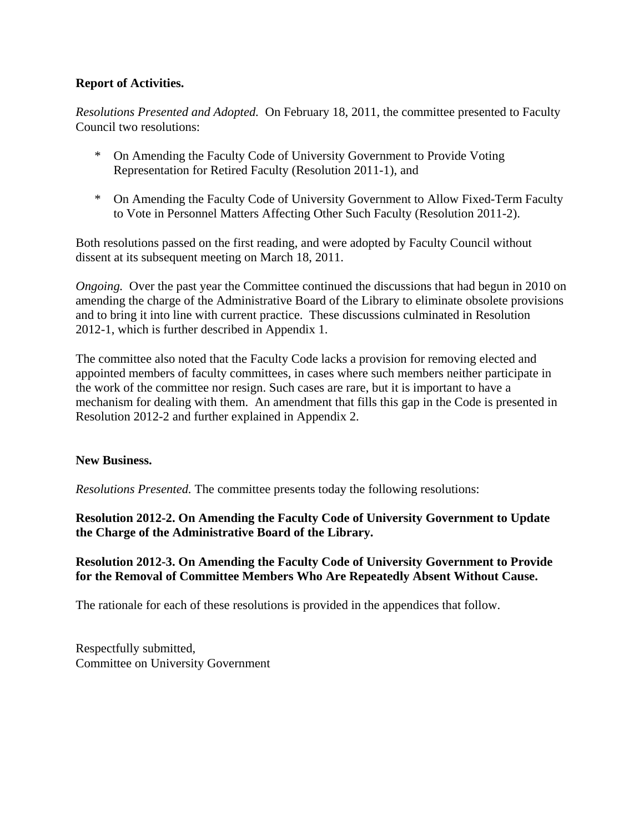#### **Report of Activities.**

*Resolutions Presented and Adopted.* On February 18, 2011, the committee presented to Faculty Council two resolutions:

- \* On Amending the Faculty Code of University Government to Provide Voting Representation for Retired Faculty (Resolution 2011-1), and
- \* On Amending the Faculty Code of University Government to Allow Fixed-Term Faculty to Vote in Personnel Matters Affecting Other Such Faculty (Resolution 2011-2).

Both resolutions passed on the first reading, and were adopted by Faculty Council without dissent at its subsequent meeting on March 18, 2011.

*Ongoing.* Over the past year the Committee continued the discussions that had begun in 2010 on amending the charge of the Administrative Board of the Library to eliminate obsolete provisions and to bring it into line with current practice. These discussions culminated in Resolution 2012-1, which is further described in Appendix 1.

The committee also noted that the Faculty Code lacks a provision for removing elected and appointed members of faculty committees, in cases where such members neither participate in the work of the committee nor resign. Such cases are rare, but it is important to have a mechanism for dealing with them. An amendment that fills this gap in the Code is presented in Resolution 2012-2 and further explained in Appendix 2.

#### **New Business.**

*Resolutions Presented.* The committee presents today the following resolutions:

**Resolution 2012-2. On Amending the Faculty Code of University Government to Update the Charge of the Administrative Board of the Library.**

# **Resolution 2012-3. On Amending the Faculty Code of University Government to Provide for the Removal of Committee Members Who Are Repeatedly Absent Without Cause.**

The rationale for each of these resolutions is provided in the appendices that follow.

Respectfully submitted, Committee on University Government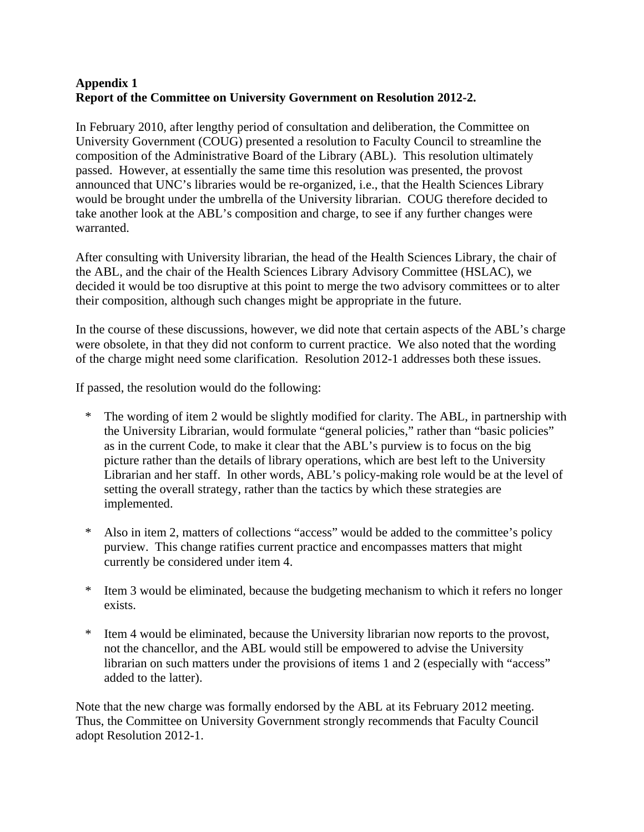# **Appendix 1 Report of the Committee on University Government on Resolution 2012-2.**

In February 2010, after lengthy period of consultation and deliberation, the Committee on University Government (COUG) presented a resolution to Faculty Council to streamline the composition of the Administrative Board of the Library (ABL). This resolution ultimately passed. However, at essentially the same time this resolution was presented, the provost announced that UNC's libraries would be re-organized, i.e., that the Health Sciences Library would be brought under the umbrella of the University librarian. COUG therefore decided to take another look at the ABL's composition and charge, to see if any further changes were warranted.

After consulting with University librarian, the head of the Health Sciences Library, the chair of the ABL, and the chair of the Health Sciences Library Advisory Committee (HSLAC), we decided it would be too disruptive at this point to merge the two advisory committees or to alter their composition, although such changes might be appropriate in the future.

In the course of these discussions, however, we did note that certain aspects of the ABL's charge were obsolete, in that they did not conform to current practice. We also noted that the wording of the charge might need some clarification. Resolution 2012-1 addresses both these issues.

If passed, the resolution would do the following:

- \* The wording of item 2 would be slightly modified for clarity. The ABL, in partnership with the University Librarian, would formulate "general policies," rather than "basic policies" as in the current Code, to make it clear that the ABL's purview is to focus on the big picture rather than the details of library operations, which are best left to the University Librarian and her staff. In other words, ABL's policy-making role would be at the level of setting the overall strategy, rather than the tactics by which these strategies are implemented.
- \* Also in item 2, matters of collections "access" would be added to the committee's policy purview. This change ratifies current practice and encompasses matters that might currently be considered under item 4.
- \* Item 3 would be eliminated, because the budgeting mechanism to which it refers no longer exists.
- \* Item 4 would be eliminated, because the University librarian now reports to the provost, not the chancellor, and the ABL would still be empowered to advise the University librarian on such matters under the provisions of items 1 and 2 (especially with "access" added to the latter).

Note that the new charge was formally endorsed by the ABL at its February 2012 meeting. Thus, the Committee on University Government strongly recommends that Faculty Council adopt Resolution 2012-1.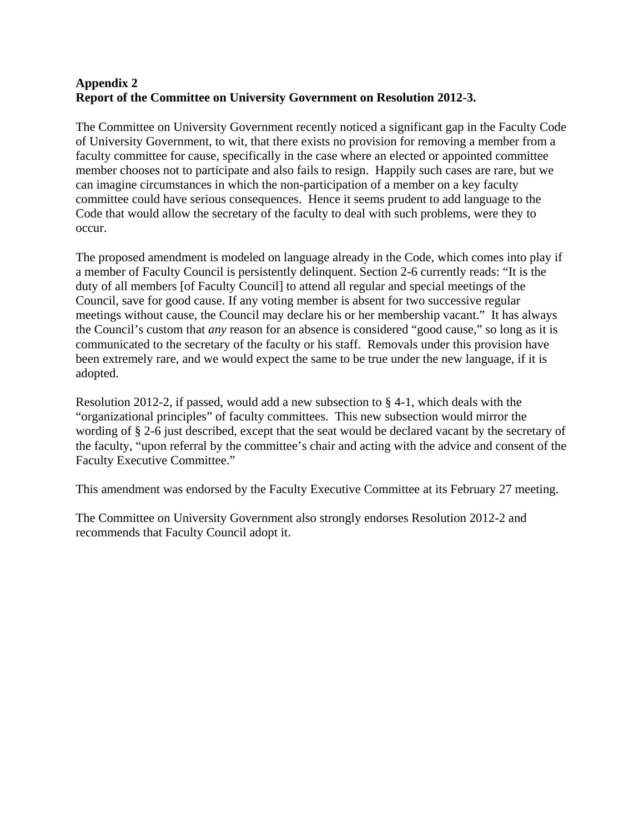# **Appendix 2 Report of the Committee on University Government on Resolution 2012-3.**

The Committee on University Government recently noticed a significant gap in the Faculty Code of University Government, to wit, that there exists no provision for removing a member from a faculty committee for cause, specifically in the case where an elected or appointed committee member chooses not to participate and also fails to resign. Happily such cases are rare, but we can imagine circumstances in which the non-participation of a member on a key faculty committee could have serious consequences. Hence it seems prudent to add language to the Code that would allow the secretary of the faculty to deal with such problems, were they to occur.

The proposed amendment is modeled on language already in the Code, which comes into play if a member of Faculty Council is persistently delinquent. Section 2-6 currently reads: "It is the duty of all members [of Faculty Council] to attend all regular and special meetings of the Council, save for good cause. If any voting member is absent for two successive regular meetings without cause, the Council may declare his or her membership vacant." It has always the Council's custom that *any* reason for an absence is considered "good cause," so long as it is communicated to the secretary of the faculty or his staff. Removals under this provision have been extremely rare, and we would expect the same to be true under the new language, if it is adopted.

Resolution 2012-2, if passed, would add a new subsection to § 4-1, which deals with the "organizational principles" of faculty committees. This new subsection would mirror the wording of § 2-6 just described, except that the seat would be declared vacant by the secretary of the faculty, "upon referral by the committee's chair and acting with the advice and consent of the Faculty Executive Committee."

This amendment was endorsed by the Faculty Executive Committee at its February 27 meeting.

The Committee on University Government also strongly endorses Resolution 2012-2 and recommends that Faculty Council adopt it.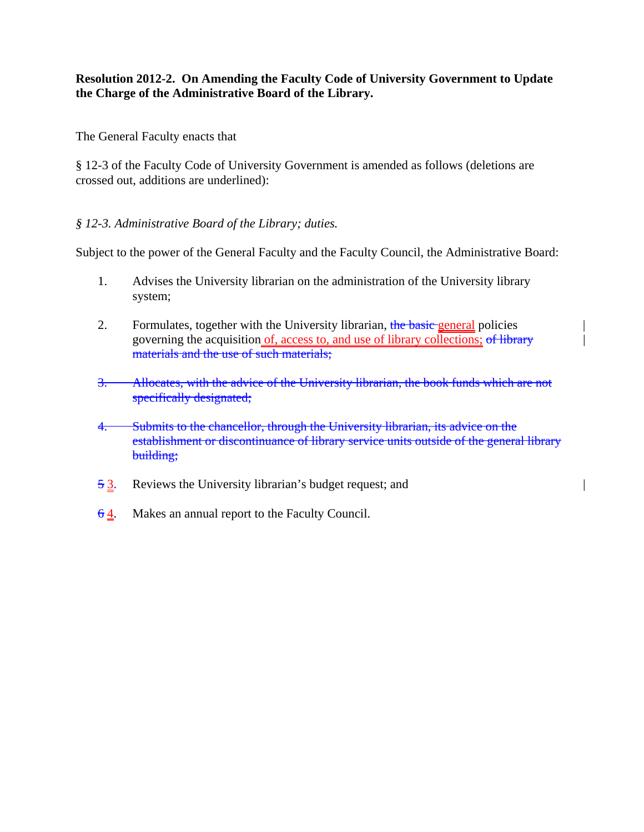# **Resolution 2012-2. On Amending the Faculty Code of University Government to Update the Charge of the Administrative Board of the Library.**

The General Faculty enacts that

§ 12-3 of the Faculty Code of University Government is amended as follows (deletions are crossed out, additions are underlined):

# *§ 12-3. Administrative Board of the Library; duties.*

Subject to the power of the General Faculty and the Faculty Council, the Administrative Board:

- 1. Advises the University librarian on the administration of the University library system;
- 2. Formulates, together with the University librarian, the basic general policies governing the acquisition of, access to, and use of library collections; of library materials and the use of such materials;
- 3. Allocates, with the advice of the University librarian, the book funds which are not specifically designated;
- 4. Submits to the chancellor, through the University librarian, its advice on the establishment or discontinuance of library service units outside of the general library building;
- 5 3. Reviews the University librarian's budget request; and |
- 6 4. Makes an annual report to the Faculty Council.